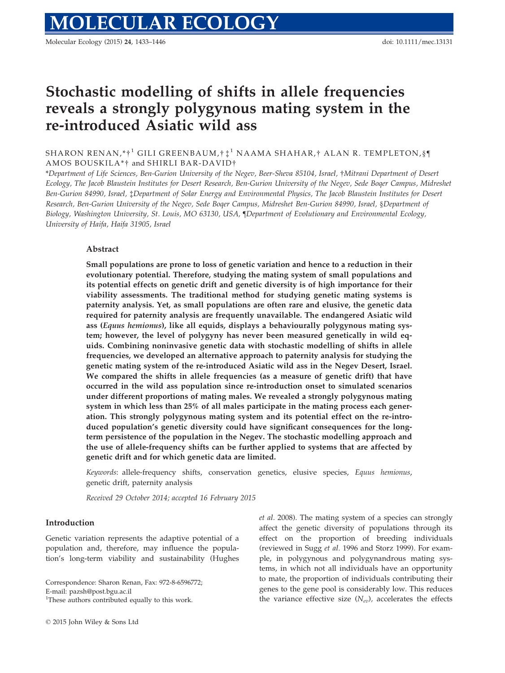# Stochastic modelling of shifts in allele frequencies reveals a strongly polygynous mating system in the re-introduced Asiatic wild ass

SHARON RENAN,\*†<sup>1</sup> GILI GREENBAUM,†  $\ddagger$ <sup>1</sup> NAAMA SHAHAR,† ALAN R. TEMPLETON,§¶ AMOS BOUSKILA\*† and SHIRLI BAR-DAVID†

\*Department of Life Sciences, Ben-Gurion University of the Negev, Beer-Sheva 85104, Israel, †Mitrani Department of Desert Ecology, The Jacob Blaustein Institutes for Desert Research, Ben-Gurion University of the Negev, Sede Boqer Campus, Midreshet Ben-Gurion 84990, Israel, ‡Department of Solar Energy and Environmental Physics, The Jacob Blaustein Institutes for Desert Research, Ben-Gurion University of the Negev, Sede Boqer Campus, Midreshet Ben-Gurion 84990, Israel, §Department of Biology, Washington University, St. Louis, MO 63130, USA, ¶Department of Evolutionary and Environmental Ecology, University of Haifa, Haifa 31905, Israel

## Abstract

Small populations are prone to loss of genetic variation and hence to a reduction in their evolutionary potential. Therefore, studying the mating system of small populations and its potential effects on genetic drift and genetic diversity is of high importance for their viability assessments. The traditional method for studying genetic mating systems is paternity analysis. Yet, as small populations are often rare and elusive, the genetic data required for paternity analysis are frequently unavailable. The endangered Asiatic wild ass (Equus hemionus), like all equids, displays a behaviourally polygynous mating system; however, the level of polygyny has never been measured genetically in wild equids. Combining noninvasive genetic data with stochastic modelling of shifts in allele frequencies, we developed an alternative approach to paternity analysis for studying the genetic mating system of the re-introduced Asiatic wild ass in the Negev Desert, Israel. We compared the shifts in allele frequencies (as a measure of genetic drift) that have occurred in the wild ass population since re-introduction onset to simulated scenarios under different proportions of mating males. We revealed a strongly polygynous mating system in which less than 25% of all males participate in the mating process each generation. This strongly polygynous mating system and its potential effect on the re-introduced population's genetic diversity could have significant consequences for the longterm persistence of the population in the Negev. The stochastic modelling approach and the use of allele-frequency shifts can be further applied to systems that are affected by genetic drift and for which genetic data are limited.

Keywords: allele-frequency shifts, conservation genetics, elusive species, Equus hemionus, genetic drift, paternity analysis

Received 29 October 2014; accepted 16 February 2015

#### Introduction

Genetic variation represents the adaptive potential of a population and, therefore, may influence the population's long-term viability and sustainability (Hughes

Correspondence: Sharon Renan, Fax: 972-8-6596772;

E-mail: pazsh@post.bgu.ac.il

<sup>1</sup>These authors contributed equally to this work.

et al. 2008). The mating system of a species can strongly affect the genetic diversity of populations through its effect on the proportion of breeding individuals (reviewed in Sugg et al. 1996 and Storz 1999). For example, in polygynous and polygynandrous mating systems, in which not all individuals have an opportunity to mate, the proportion of individuals contributing their genes to the gene pool is considerably low. This reduces the variance effective size  $(N_{ev})$ , accelerates the effects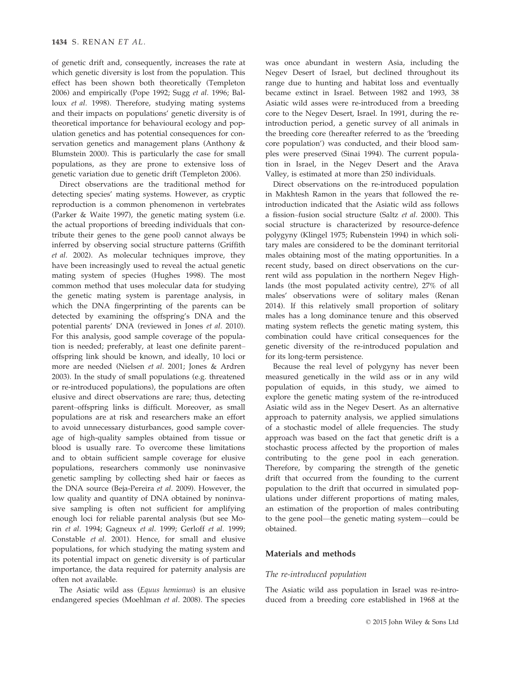of genetic drift and, consequently, increases the rate at which genetic diversity is lost from the population. This effect has been shown both theoretically (Templeton 2006) and empirically (Pope 1992; Sugg et al. 1996; Balloux et al. 1998). Therefore, studying mating systems and their impacts on populations' genetic diversity is of theoretical importance for behavioural ecology and population genetics and has potential consequences for conservation genetics and management plans (Anthony & Blumstein 2000). This is particularly the case for small populations, as they are prone to extensive loss of genetic variation due to genetic drift (Templeton 2006).

Direct observations are the traditional method for detecting species' mating systems. However, as cryptic reproduction is a common phenomenon in vertebrates (Parker & Waite 1997), the genetic mating system (i.e. the actual proportions of breeding individuals that contribute their genes to the gene pool) cannot always be inferred by observing social structure patterns (Griffith et al. 2002). As molecular techniques improve, they have been increasingly used to reveal the actual genetic mating system of species (Hughes 1998). The most common method that uses molecular data for studying the genetic mating system is parentage analysis, in which the DNA fingerprinting of the parents can be detected by examining the offspring's DNA and the potential parents' DNA (reviewed in Jones et al. 2010). For this analysis, good sample coverage of the population is needed; preferably, at least one definite parent– offspring link should be known, and ideally, 10 loci or more are needed (Nielsen et al. 2001; Jones & Ardren 2003). In the study of small populations (e.g. threatened or re-introduced populations), the populations are often elusive and direct observations are rare; thus, detecting parent–offspring links is difficult. Moreover, as small populations are at risk and researchers make an effort to avoid unnecessary disturbances, good sample coverage of high-quality samples obtained from tissue or blood is usually rare. To overcome these limitations and to obtain sufficient sample coverage for elusive populations, researchers commonly use noninvasive genetic sampling by collecting shed hair or faeces as the DNA source (Beja-Pereira et al. 2009). However, the low quality and quantity of DNA obtained by noninvasive sampling is often not sufficient for amplifying enough loci for reliable parental analysis (but see Morin et al. 1994; Gagneux et al. 1999; Gerloff et al. 1999; Constable et al. 2001). Hence, for small and elusive populations, for which studying the mating system and its potential impact on genetic diversity is of particular importance, the data required for paternity analysis are often not available.

The Asiatic wild ass (Equus hemionus) is an elusive endangered species (Moehlman et al. 2008). The species

was once abundant in western Asia, including the Negev Desert of Israel, but declined throughout its range due to hunting and habitat loss and eventually became extinct in Israel. Between 1982 and 1993, 38 Asiatic wild asses were re-introduced from a breeding core to the Negev Desert, Israel. In 1991, during the reintroduction period, a genetic survey of all animals in the breeding core (hereafter referred to as the 'breeding core population') was conducted, and their blood samples were preserved (Sinai 1994). The current population in Israel, in the Negev Desert and the Arava Valley, is estimated at more than 250 individuals.

Direct observations on the re-introduced population in Makhtesh Ramon in the years that followed the reintroduction indicated that the Asiatic wild ass follows a fission–fusion social structure (Saltz et al. 2000). This social structure is characterized by resource-defence polygyny (Klingel 1975; Rubenstein 1994) in which solitary males are considered to be the dominant territorial males obtaining most of the mating opportunities. In a recent study, based on direct observations on the current wild ass population in the northern Negev Highlands (the most populated activity centre), 27% of all males' observations were of solitary males (Renan 2014). If this relatively small proportion of solitary males has a long dominance tenure and this observed mating system reflects the genetic mating system, this combination could have critical consequences for the genetic diversity of the re-introduced population and for its long-term persistence.

Because the real level of polygyny has never been measured genetically in the wild ass or in any wild population of equids, in this study, we aimed to explore the genetic mating system of the re-introduced Asiatic wild ass in the Negev Desert. As an alternative approach to paternity analysis, we applied simulations of a stochastic model of allele frequencies. The study approach was based on the fact that genetic drift is a stochastic process affected by the proportion of males contributing to the gene pool in each generation. Therefore, by comparing the strength of the genetic drift that occurred from the founding to the current population to the drift that occurred in simulated populations under different proportions of mating males, an estimation of the proportion of males contributing to the gene pool—the genetic mating system—could be obtained.

## Materials and methods

#### The re-introduced population

The Asiatic wild ass population in Israel was re-introduced from a breeding core established in 1968 at the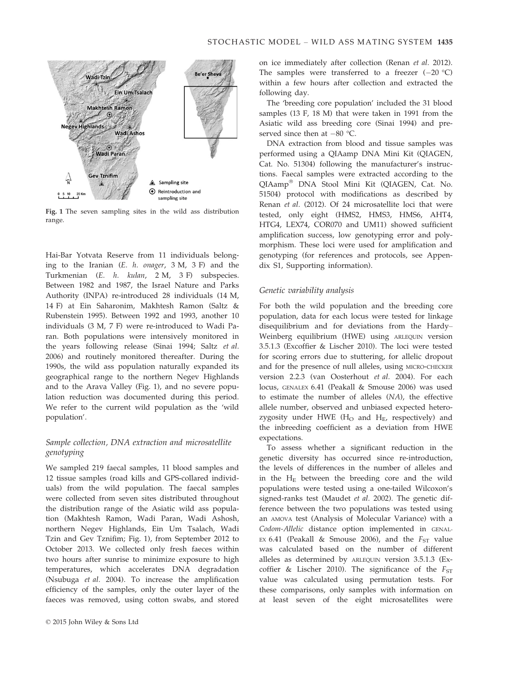

Fig. 1 The seven sampling sites in the wild ass distribution range.

Hai-Bar Yotvata Reserve from 11 individuals belonging to the Iranian (E. h. onager, 3 M, 3 F) and the Turkmenian (E. h. kulan, 2 M, 3 F) subspecies. Between 1982 and 1987, the Israel Nature and Parks Authority (INPA) re-introduced 28 individuals (14 M, 14 F) at Ein Saharonim, Makhtesh Ramon (Saltz & Rubenstein 1995). Between 1992 and 1993, another 10 individuals (3 M, 7 F) were re-introduced to Wadi Paran. Both populations were intensively monitored in the years following release (Sinai 1994; Saltz et al. 2006) and routinely monitored thereafter. During the 1990s, the wild ass population naturally expanded its geographical range to the northern Negev Highlands and to the Arava Valley (Fig. 1), and no severe population reduction was documented during this period. We refer to the current wild population as the 'wild population'.

## Sample collection, DNA extraction and microsatellite genotyping

We sampled 219 faecal samples, 11 blood samples and 12 tissue samples (road kills and GPS-collared individuals) from the wild population. The faecal samples were collected from seven sites distributed throughout the distribution range of the Asiatic wild ass population (Makhtesh Ramon, Wadi Paran, Wadi Ashosh, northern Negev Highlands, Ein Um Tsalach, Wadi Tzin and Gev Tznifim; Fig. 1), from September 2012 to October 2013. We collected only fresh faeces within two hours after sunrise to minimize exposure to high temperatures, which accelerates DNA degradation (Nsubuga et al. 2004). To increase the amplification efficiency of the samples, only the outer layer of the faeces was removed, using cotton swabs, and stored on ice immediately after collection (Renan et al. 2012). The samples were transferred to a freezer  $(-20 \degree C)$ within a few hours after collection and extracted the following day.

The 'breeding core population' included the 31 blood samples (13 F, 18 M) that were taken in 1991 from the Asiatic wild ass breeding core (Sinai 1994) and preserved since then at  $-80$  °C.

DNA extraction from blood and tissue samples was performed using a QIAamp DNA Mini Kit (QIAGEN, Cat. No. 51304) following the manufacturer's instructions. Faecal samples were extracted according to the QIAamp<sup>®</sup> DNA Stool Mini Kit (QIAGEN, Cat. No. 51504) protocol with modifications as described by Renan et al. (2012). Of 24 microsatellite loci that were tested, only eight (HMS2, HMS3, HMS6, AHT4, HTG4, LEX74, COR070 and UM11) showed sufficient amplification success, low genotyping error and polymorphism. These loci were used for amplification and genotyping (for references and protocols, see Appendix S1, Supporting information).

## Genetic variability analysis

For both the wild population and the breeding core population, data for each locus were tested for linkage disequilibrium and for deviations from the Hardy– Weinberg equilibrium (HWE) using ARLEQUIN version 3.5.1.3 (Excoffier & Lischer 2010). The loci were tested for scoring errors due to stuttering, for allelic dropout and for the presence of null alleles, using MICRO-CHECKER version 2.2.3 (van Oosterhout et al. 2004). For each locus, GENALEX 6.41 (Peakall & Smouse 2006) was used to estimate the number of alleles (NA), the effective allele number, observed and unbiased expected heterozygosity under HWE ( $H<sub>O</sub>$  and  $H<sub>E</sub>$ , respectively) and the inbreeding coefficient as a deviation from HWE expectations.

To assess whether a significant reduction in the genetic diversity has occurred since re-introduction, the levels of differences in the number of alleles and in the  $H<sub>E</sub>$  between the breeding core and the wild populations were tested using a one-tailed Wilcoxon's signed-ranks test (Maudet et al. 2002). The genetic difference between the two populations was tested using an AMOVA test (Analysis of Molecular Variance) with a Codom-Allelic distance option implemented in GENAL-EX 6.41 (Peakall & Smouse 2006), and the  $F_{ST}$  value was calculated based on the number of different alleles as determined by ARLEQUIN version 3.5.1.3 (Excoffier & Lischer 2010). The significance of the  $F_{ST}$ value was calculated using permutation tests. For these comparisons, only samples with information on at least seven of the eight microsatellites were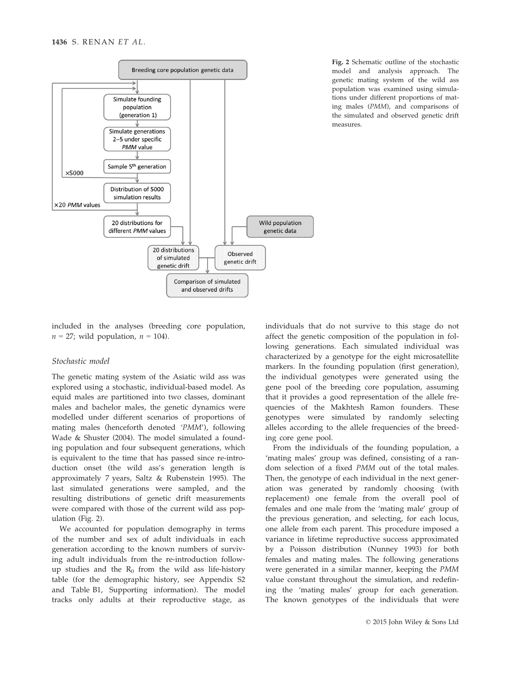

Fig. 2 Schematic outline of the stochastic model and analysis approach. The genetic mating system of the wild ass population was examined using simulations under different proportions of mating males (PMM), and comparisons of the simulated and observed genetic drift measures.

included in the analyses (breeding core population,  $n = 27$ ; wild population,  $n = 104$ ).

#### Stochastic model

The genetic mating system of the Asiatic wild ass was explored using a stochastic, individual-based model. As equid males are partitioned into two classes, dominant males and bachelor males, the genetic dynamics were modelled under different scenarios of proportions of mating males (henceforth denoted 'PMM'), following Wade & Shuster (2004). The model simulated a founding population and four subsequent generations, which is equivalent to the time that has passed since re-introduction onset (the wild ass's generation length is approximately 7 years, Saltz & Rubenstein 1995). The last simulated generations were sampled, and the resulting distributions of genetic drift measurements were compared with those of the current wild ass population (Fig. 2).

We accounted for population demography in terms of the number and sex of adult individuals in each generation according to the known numbers of surviving adult individuals from the re-introduction followup studies and the  $R_0$  from the wild ass life-history table (for the demographic history, see Appendix S2 and Table B1, Supporting information). The model tracks only adults at their reproductive stage, as

individuals that do not survive to this stage do not affect the genetic composition of the population in following generations. Each simulated individual was characterized by a genotype for the eight microsatellite markers. In the founding population (first generation), the individual genotypes were generated using the gene pool of the breeding core population, assuming that it provides a good representation of the allele frequencies of the Makhtesh Ramon founders. These genotypes were simulated by randomly selecting alleles according to the allele frequencies of the breeding core gene pool.

From the individuals of the founding population, a 'mating males' group was defined, consisting of a random selection of a fixed PMM out of the total males. Then, the genotype of each individual in the next generation was generated by randomly choosing (with replacement) one female from the overall pool of females and one male from the 'mating male' group of the previous generation, and selecting, for each locus, one allele from each parent. This procedure imposed a variance in lifetime reproductive success approximated by a Poisson distribution (Nunney 1993) for both females and mating males. The following generations were generated in a similar manner, keeping the PMM value constant throughout the simulation, and redefining the 'mating males' group for each generation. The known genotypes of the individuals that were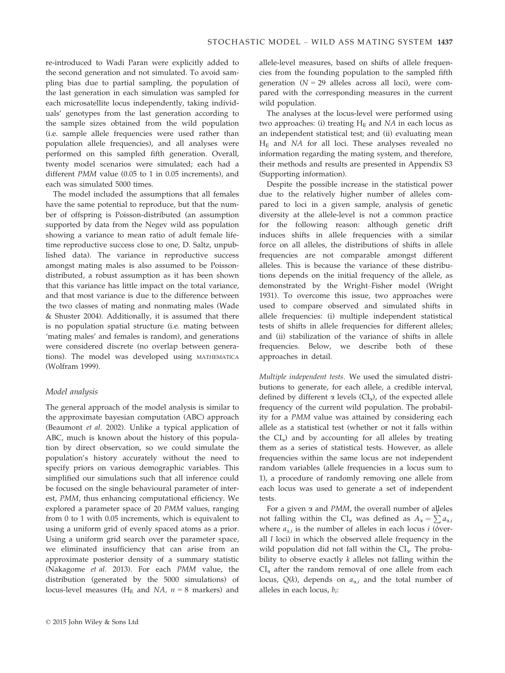re-introduced to Wadi Paran were explicitly added to the second generation and not simulated. To avoid sampling bias due to partial sampling, the population of the last generation in each simulation was sampled for each microsatellite locus independently, taking individuals' genotypes from the last generation according to the sample sizes obtained from the wild population (i.e. sample allele frequencies were used rather than population allele frequencies), and all analyses were performed on this sampled fifth generation. Overall, twenty model scenarios were simulated; each had a different PMM value (0.05 to 1 in 0.05 increments), and each was simulated 5000 times.

The model included the assumptions that all females have the same potential to reproduce, but that the number of offspring is Poisson-distributed (an assumption supported by data from the Negev wild ass population showing a variance to mean ratio of adult female lifetime reproductive success close to one, D. Saltz, unpublished data). The variance in reproductive success amongst mating males is also assumed to be Poissondistributed, a robust assumption as it has been shown that this variance has little impact on the total variance, and that most variance is due to the difference between the two classes of mating and nonmating males (Wade & Shuster 2004). Additionally, it is assumed that there is no population spatial structure (i.e. mating between 'mating males' and females is random), and generations were considered discrete (no overlap between generations). The model was developed using MATHEMATICA (Wolfram 1999).

## Model analysis

The general approach of the model analysis is similar to the approximate bayesian computation (ABC) approach (Beaumont et al. 2002). Unlike a typical application of ABC, much is known about the history of this population by direct observation, so we could simulate the population's history accurately without the need to specify priors on various demographic variables. This simplified our simulations such that all inference could be focused on the single behavioural parameter of interest, PMM, thus enhancing computational efficiency. We explored a parameter space of 20 PMM values, ranging from 0 to 1 with 0.05 increments, which is equivalent to using a uniform grid of evenly spaced atoms as a prior. Using a uniform grid search over the parameter space, we eliminated insufficiency that can arise from an approximate posterior density of a summary statistic (Nakagome et al. 2013). For each PMM value, the distribution (generated by the 5000 simulations) of locus-level measures ( $H_E$  and NA,  $n = 8$  markers) and

allele-level measures, based on shifts of allele frequencies from the founding population to the sampled fifth generation  $(N = 29)$  alleles across all loci), were compared with the corresponding measures in the current wild population.

The analyses at the locus-level were performed using two approaches: (i) treating  $H<sub>E</sub>$  and NA in each locus as an independent statistical test; and (ii) evaluating mean  $H<sub>E</sub>$  and NA for all loci. These analyses revealed no information regarding the mating system, and therefore, their methods and results are presented in Appendix S3 (Supporting information).

Despite the possible increase in the statistical power due to the relatively higher number of alleles compared to loci in a given sample, analysis of genetic diversity at the allele-level is not a common practice for the following reason: although genetic drift induces shifts in allele frequencies with a similar force on all alleles, the distributions of shifts in allele frequencies are not comparable amongst different alleles. This is because the variance of these distributions depends on the initial frequency of the allele, as demonstrated by the Wright–Fisher model (Wright 1931). To overcome this issue, two approaches were used to compare observed and simulated shifts in allele frequencies: (i) multiple independent statistical tests of shifts in allele frequencies for different alleles; and (ii) stabilization of the variance of shifts in allele frequencies. Below, we describe both of these approaches in detail.

Multiple independent tests. We used the simulated distributions to generate, for each allele, a credible interval, defined by different  $\alpha$  levels (CI<sub> $\alpha$ </sub>), of the expected allele frequency of the current wild population. The probability for a PMM value was attained by considering each allele as a statistical test (whether or not it falls within the  $CI_{\alpha}$ ) and by accounting for all alleles by treating them as a series of statistical tests. However, as allele frequencies within the same locus are not independent random variables (allele frequencies in a locus sum to 1), a procedure of randomly removing one allele from each locus was used to generate a set of independent tests.

For a given  $\alpha$  and PMM, the overall number of alleles not falling within the  $CI_{\alpha}$  was defined as  $A_{\alpha} = \sum a_{\alpha,i}$ <br>where  $\alpha$ , is the number of alleles in each logue i (jyon) where  $a_{\alpha,i}$  is the number of alleles in each locus *i* ( $\dot{\text{6}}$ verall  $l$  loci) in which the observed allele frequency in the wild population did not fall within the  $CI_{\alpha}$ . The probability to observe exactly  $k$  alleles not falling within the  $CI_{\alpha}$  after the random removal of one allele from each locus,  $Q(k)$ , depends on  $a_{\alpha,i}$  and the total number of alleles in each locus,  $b_i$ :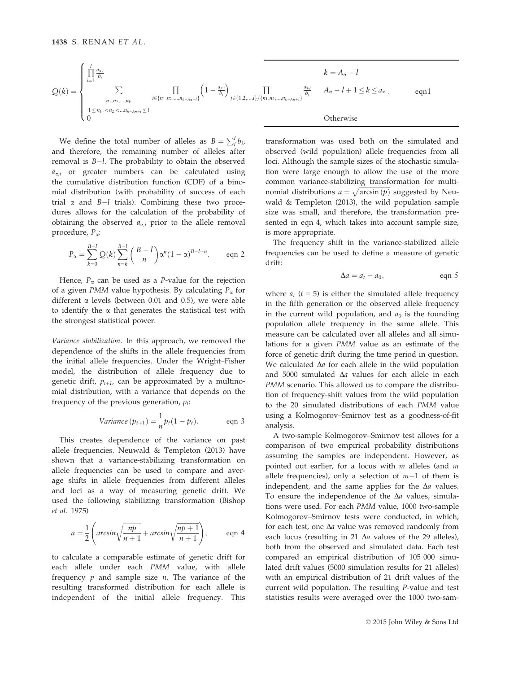$$
Q(k) = \begin{cases} \n\prod_{i=1}^{l} \frac{a_{\alpha,i}}{b_i} & k = A_{\alpha} - l \\ \n\sum_{\substack{n_1, n_2, \dots, n_k \\ 1 \le n_1, < n_2 < \dots n_{k-A_{\alpha}+l} \le l}} \prod_{i \in \{n_1, n_2, \dots, n_{k-A_{\alpha}+l}\}} \left(1 - \frac{a_{\alpha,i}}{b_i}\right)_{j \in \{1, 2, \dots, l\}/\{n_1, n_2, \dots, n_{k-A_{\alpha}+l}\}} \frac{a_{\alpha,i}}{b_i} & A_{\alpha} - l + 1 \le k \le a_{\alpha} \n\end{cases} \qquad \text{eqn1}
$$

We define the total number of alleles as  $B = \sum_{i}^{l} b_i$ ,<br>d therefore the remaining number of alleles after and therefore, the remaining number of alleles after removal is  $B-l$ . The probability to obtain the observed  $a_{\alpha,i}$  or greater numbers can be calculated using the cumulative distribution function (CDF) of a binomial distribution (with probability of success of each trial  $\alpha$  and  $B-l$  trials). Combining these two procedures allows for the calculation of the probability of obtaining the observed  $a_{\alpha,i}$  prior to the allele removal procedure,  $P_{\alpha}$ :

$$
P_{\alpha} = \sum_{k=0}^{B-l} Q(k) \sum_{n=k}^{B-l} {B-l \choose n} \alpha^{n} (1-\alpha)^{B-l-n}.
$$
 eqn 2

Hence,  $P_{\alpha}$  can be used as a *P*-value for the rejection of a given *PMM* value hypothesis. By calculating  $P_{\alpha}$  for different  $\alpha$  levels (between 0.01 and 0.5), we were able to identify the  $\alpha$  that generates the statistical test with the strongest statistical power.

Variance stabilization. In this approach, we removed the dependence of the shifts in the allele frequencies from the initial allele frequencies. Under the Wright–Fisher model, the distribution of allele frequency due to genetic drift,  $p_{t+1}$ , can be approximated by a multinomial distribution, with a variance that depends on the frequency of the previous generation,  $p_t$ :

$$
Variance(p_{t+1}) = \frac{1}{n}p_t(1 - p_t).
$$
 eqn 3

This creates dependence of the variance on past allele frequencies. Neuwald & Templeton (2013) have shown that a variance-stabilizing transformation on allele frequencies can be used to compare and average shifts in allele frequencies from different alleles and loci as a way of measuring genetic drift. We used the following stabilizing transformation (Bishop et al. 1975)

$$
a = \frac{1}{2} \left( \arcsin \sqrt{\frac{np}{n+1}} + \arcsin \sqrt{\frac{np+1}{n+1}} \right), \qquad \text{eqn 4}
$$

to calculate a comparable estimate of genetic drift for each allele under each PMM value, with allele frequency  $p$  and sample size  $n$ . The variance of the resulting transformed distribution for each allele is independent of the initial allele frequency. This transformation was used both on the simulated and observed (wild population) allele frequencies from all loci. Although the sample sizes of the stochastic simulation were large enough to allow the use of the more common variance-stabilizing transformation for multinomial distributions  $a = \sqrt{\arcsin{(p)}}$  suggested by Neu-<br>unld & Tompleton (2012), the unld population complete wald & Templeton (2013), the wild population sample size was small, and therefore, the transformation presented in eqn 4, which takes into account sample size, is more appropriate.

The frequency shift in the variance-stabilized allele frequencies can be used to define a measure of genetic drift:

$$
\Delta a = a_t - a_0, \qquad \text{eqn } 5
$$

where  $a_t$  ( $t = 5$ ) is either the simulated allele frequency in the fifth generation or the observed allele frequency in the current wild population, and  $a_0$  is the founding population allele frequency in the same allele. This measure can be calculated over all alleles and all simulations for a given PMM value as an estimate of the force of genetic drift during the time period in question. We calculated  $\Delta a$  for each allele in the wild population and 5000 simulated  $\Delta a$  values for each allele in each PMM scenario. This allowed us to compare the distribution of frequency-shift values from the wild population to the 20 simulated distributions of each PMM value using a Kolmogorov–Smirnov test as a goodness-of-fit analysis.

A two-sample Kolmogorov–Smirnov test allows for a comparison of two empirical probability distributions assuming the samples are independent. However, as pointed out earlier, for a locus with  $m$  alleles (and  $m$ allele frequencies), only a selection of  $m-1$  of them is independent, and the same applies for the  $\Delta a$  values. To ensure the independence of the  $\Delta a$  values, simulations were used. For each PMM value, 1000 two-sample Kolmogorov–Smirnov tests were conducted, in which, for each test, one  $\Delta a$  value was removed randomly from each locus (resulting in 21  $\Delta a$  values of the 29 alleles), both from the observed and simulated data. Each test compared an empirical distribution of 105 000 simulated drift values (5000 simulation results for 21 alleles) with an empirical distribution of 21 drift values of the current wild population. The resulting P-value and test statistics results were averaged over the 1000 two-sam-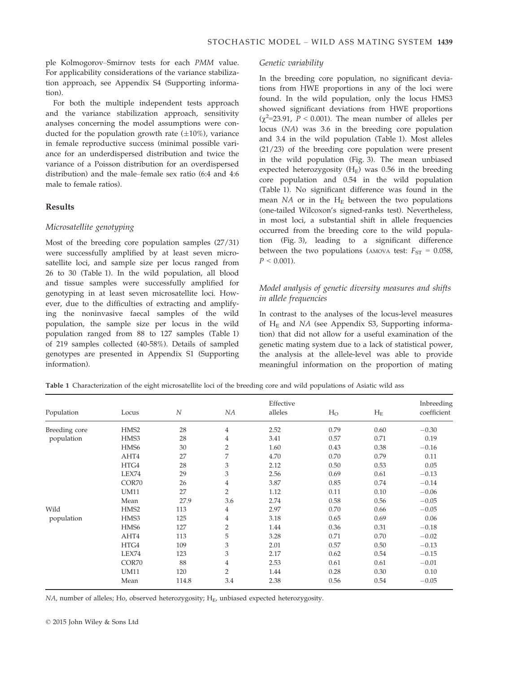ple Kolmogorov–Smirnov tests for each PMM value. For applicability considerations of the variance stabilization approach, see Appendix S4 (Supporting information).

For both the multiple independent tests approach and the variance stabilization approach, sensitivity analyses concerning the model assumptions were conducted for the population growth rate  $(\pm 10\%)$ , variance in female reproductive success (minimal possible variance for an underdispersed distribution and twice the variance of a Poisson distribution for an overdispersed distribution) and the male–female sex ratio (6:4 and 4:6 male to female ratios).

## Results

## Microsatellite genotyping

Most of the breeding core population samples (27/31) were successfully amplified by at least seven microsatellite loci, and sample size per locus ranged from 26 to 30 (Table 1). In the wild population, all blood and tissue samples were successfully amplified for genotyping in at least seven microsatellite loci. However, due to the difficulties of extracting and amplifying the noninvasive faecal samples of the wild population, the sample size per locus in the wild population ranged from 88 to 127 samples (Table 1) of 219 samples collected (40-58%). Details of sampled genotypes are presented in Appendix S1 (Supporting information).

## Genetic variability

In the breeding core population, no significant deviations from HWE proportions in any of the loci were found. In the wild population, only the locus HMS3 showed significant deviations from HWE proportions  $(\chi^2=23.91, P < 0.001)$ . The mean number of alleles per locus (NA) was 3.6 in the breeding core population and 3.4 in the wild population (Table 1). Most alleles (21/23) of the breeding core population were present in the wild population (Fig. 3). The mean unbiased expected heterozygosity  $(H_E)$  was 0.56 in the breeding core population and 0.54 in the wild population (Table 1). No significant difference was found in the mean  $NA$  or in the  $H_E$  between the two populations (one-tailed Wilcoxon's signed-ranks test). Nevertheless, in most loci, a substantial shift in allele frequencies occurred from the breeding core to the wild population (Fig. 3), leading to a significant difference between the two populations (AMOVA test:  $F_{ST} = 0.058$ ,  $P < 0.001$ ).

## Model analysis of genetic diversity measures and shifts in allele frequencies

In contrast to the analyses of the locus-level measures of  $H<sub>E</sub>$  and NA (see Appendix S3, Supporting information) that did not allow for a useful examination of the genetic mating system due to a lack of statistical power, the analysis at the allele-level was able to provide meaningful information on the proportion of mating

Table 1 Characterization of the eight microsatellite loci of the breeding core and wild populations of Asiatic wild ass

| Population    | Locus            | $\overline{N}$ | NA             | Effective<br>alleles | $H_{O}$ | $H_{E}$ | Inbreeding<br>coefficient |
|---------------|------------------|----------------|----------------|----------------------|---------|---------|---------------------------|
| Breeding core | HMS <sub>2</sub> | 28             | $\overline{4}$ | 2.52                 | 0.79    | 0.60    | $-0.30$                   |
| population    | HMS3             | 28             | 4              | 3.41                 | 0.57    | 0.71    | 0.19                      |
|               | HMS <sub>6</sub> | 30             | $\overline{2}$ | 1.60                 | 0.43    | 0.38    | $-0.16$                   |
|               | AHT4             | 27             | 7              | 4.70                 | 0.70    | 0.79    | 0.11                      |
|               | HTG4             | 28             | 3              | 2.12                 | 0.50    | 0.53    | 0.05                      |
|               | LEX74            | 29             | 3              | 2.56                 | 0.69    | 0.61    | $-0.13$                   |
|               | COR70            | 26             | $\overline{4}$ | 3.87                 | 0.85    | 0.74    | $-0.14$                   |
|               | <b>UM11</b>      | 27             | $\overline{2}$ | 1.12                 | 0.11    | 0.10    | $-0.06$                   |
|               | Mean             | 27.9           | 3.6            | 2.74                 | 0.58    | 0.56    | $-0.05$                   |
| Wild          | HMS <sub>2</sub> | 113            | 4              | 2.97                 | 0.70    | 0.66    | $-0.05$                   |
| population    | HMS3             | 125            | 4              | 3.18                 | 0.65    | 0.69    | 0.06                      |
|               | HMS <sub>6</sub> | 127            | $\overline{2}$ | 1.44                 | 0.36    | 0.31    | $-0.18$                   |
|               | AHT4             | 113            | 5              | 3.28                 | 0.71    | 0.70    | $-0.02$                   |
|               | HTG4             | 109            | 3              | 2.01                 | 0.57    | 0.50    | $-0.13$                   |
|               | LEX74            | 123            | 3              | 2.17                 | 0.62    | 0.54    | $-0.15$                   |
|               | COR70            | 88             | $\overline{4}$ | 2.53                 | 0.61    | 0.61    | $-0.01$                   |
|               | <b>UM11</b>      | 120            | $\overline{2}$ | 1.44                 | 0.28    | 0.30    | 0.10                      |
|               | Mean             | 114.8          | 3.4            | 2.38                 | 0.56    | 0.54    | $-0.05$                   |

 $NA$ , number of alleles; Ho, observed heterozygosity;  $H<sub>E</sub>$ , unbiased expected heterozygosity.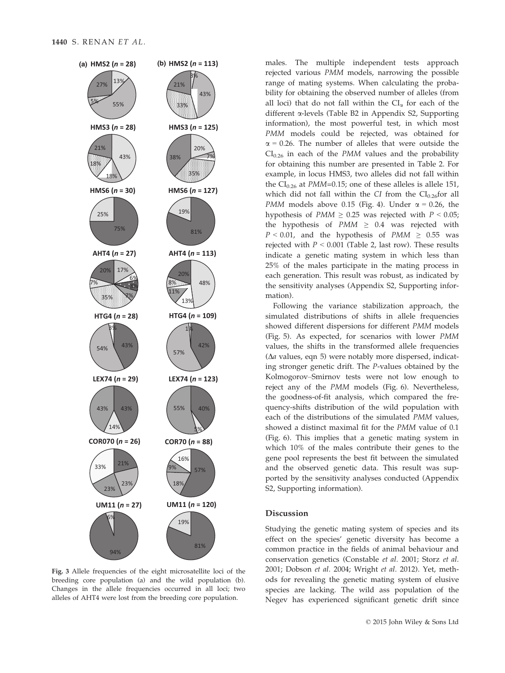

Fig. 3 Allele frequencies of the eight microsatellite loci of the breeding core population (a) and the wild population (b). Changes in the allele frequencies occurred in all loci; two alleles of AHT4 were lost from the breeding core population.

males. The multiple independent tests approach rejected various PMM models, narrowing the possible range of mating systems. When calculating the probability for obtaining the observed number of alleles (from all loci) that do not fall within the  $CI_{\alpha}$  for each of the different a-levels (Table B2 in Appendix S2, Supporting information), the most powerful test, in which most PMM models could be rejected, was obtained for  $\alpha$  = 0.26. The number of alleles that were outside the  $CI_{0.26}$  in each of the PMM values and the probability for obtaining this number are presented in Table 2. For example, in locus HMS3, two alleles did not fall within the  $CI_{0.26}$  at PMM=0.15; one of these alleles is allele 151, which did not fall within the CI from the  $CI_{0.26}$ for all PMM models above 0.15 (Fig. 4). Under  $\alpha$  = 0.26, the hypothesis of  $PMM \geq 0.25$  was rejected with  $P < 0.05$ ; the hypothesis of  $PMM \geq 0.4$  was rejected with  $P < 0.01$ , and the hypothesis of PMM  $\geq 0.55$  was rejected with  $P < 0.001$  (Table 2, last row). These results indicate a genetic mating system in which less than 25% of the males participate in the mating process in each generation. This result was robust, as indicated by the sensitivity analyses (Appendix S2, Supporting information).

Following the variance stabilization approach, the simulated distributions of shifts in allele frequencies showed different dispersions for different PMM models (Fig. 5). As expected, for scenarios with lower PMM values, the shifts in the transformed allele frequencies  $(\Delta a$  values, eqn 5) were notably more dispersed, indicating stronger genetic drift. The P-values obtained by the Kolmogorov–Smirnov tests were not low enough to reject any of the PMM models (Fig. 6). Nevertheless, the goodness-of-fit analysis, which compared the frequency-shifts distribution of the wild population with each of the distributions of the simulated PMM values, showed a distinct maximal fit for the PMM value of 0.1 (Fig. 6). This implies that a genetic mating system in which 10% of the males contribute their genes to the gene pool represents the best fit between the simulated and the observed genetic data. This result was supported by the sensitivity analyses conducted (Appendix S2, Supporting information).

## Discussion

Studying the genetic mating system of species and its effect on the species' genetic diversity has become a common practice in the fields of animal behaviour and conservation genetics (Constable et al. 2001; Storz et al. 2001; Dobson et al. 2004; Wright et al. 2012). Yet, methods for revealing the genetic mating system of elusive species are lacking. The wild ass population of the Negev has experienced significant genetic drift since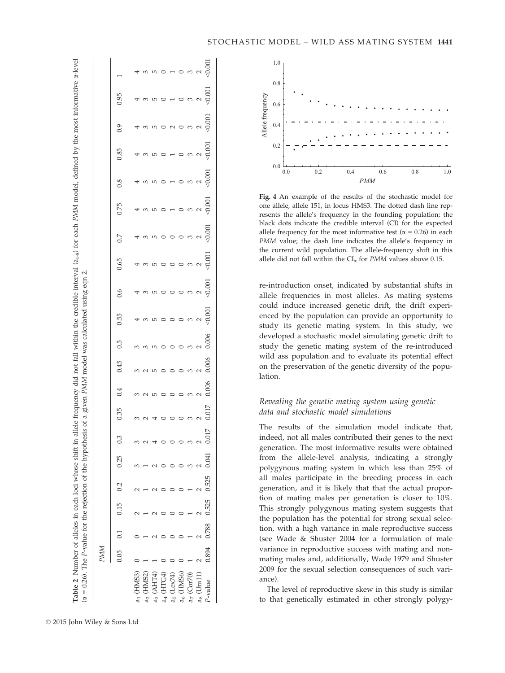| ele frequency did not fall within the credible interval $(a_{1-8})$ for each PMM model, defined by the most informative $\alpha$<br>with the predictional of the control of the control of the control of the control of the control of the control of the control of the control of the control of the control of the control of the control of the control of th |                                                                                                                                     |
|--------------------------------------------------------------------------------------------------------------------------------------------------------------------------------------------------------------------------------------------------------------------------------------------------------------------------------------------------------------------|-------------------------------------------------------------------------------------------------------------------------------------|
|                                                                                                                                                                                                                                                                                                                                                                    | "COP OI a given in the way concernational control of the con-<br><sup>t</sup> hesis of a given PMM model was calmilated using one ? |
|                                                                                                                                                                                                                                                                                                                                                                    |                                                                                                                                     |
|                                                                                                                                                                                                                                                                                                                                                                    |                                                                                                                                     |
|                                                                                                                                                                                                                                                                                                                                                                    |                                                                                                                                     |
|                                                                                                                                                                                                                                                                                                                                                                    |                                                                                                                                     |
|                                                                                                                                                                                                                                                                                                                                                                    |                                                                                                                                     |
|                                                                                                                                                                                                                                                                                                                                                                    | i                                                                                                                                   |
|                                                                                                                                                                                                                                                                                                                                                                    |                                                                                                                                     |
|                                                                                                                                                                                                                                                                                                                                                                    |                                                                                                                                     |
| $55 - 55$<br>I                                                                                                                                                                                                                                                                                                                                                     |                                                                                                                                     |
|                                                                                                                                                                                                                                                                                                                                                                    |                                                                                                                                     |
|                                                                                                                                                                                                                                                                                                                                                                    |                                                                                                                                     |
|                                                                                                                                                                                                                                                                                                                                                                    | $\parallel$                                                                                                                         |

**z** 

|                          | 0.05  | 0.1   | 0.15  | 0.2   | 0.25  | 0.3       | 0.35  | 0.4             | 0.45               | 0.5      | 0.55              | 0.6  | 0.65 | 0.7               | 0.75                | 0.8                                           | 0.85                   | 6.0                         | 0.95                                    |                 |
|--------------------------|-------|-------|-------|-------|-------|-----------|-------|-----------------|--------------------|----------|-------------------|------|------|-------------------|---------------------|-----------------------------------------------|------------------------|-----------------------------|-----------------------------------------|-----------------|
| HMS3)<br>a               |       |       |       |       |       |           | 3     | 3               | 3                  | S        | $\overline{4}$    |      |      |                   |                     |                                               |                        |                             |                                         |                 |
| a                        |       |       |       |       |       |           |       | $\sim$          | $\sim$             | m m      | 3                 | 4000 |      | 4 w               | 40                  | $\frac{4}{3}$                                 | $\frac{4}{5}$ $\omega$ | $\frac{4}{5}$ $\frac{1}{5}$ | 43                                      | 3               |
| त<br>वि                  |       |       |       |       |       |           |       | $\overline{10}$ | $\mathsf{L}\Omega$ |          | LŊ                |      |      | $\overline{5}$    | $\overline{5}$      | $\overline{10}$                               |                        | LŊ                          | $\overline{5}$                          | $\overline{10}$ |
| HTG4                     |       |       |       |       |       |           |       | $\circ$         | $\circ$            |          |                   |      |      | $\circ$ $\circ$   | $\circ$             | $\circ$                                       |                        |                             |                                         |                 |
| $a5$ (Lex74)             |       |       |       |       |       |           |       | $\circ$         | $\circ$            |          | $\circ$           |      |      |                   |                     |                                               |                        | $\sim$                      |                                         | 100001          |
| HMS <sub>6</sub>         |       |       |       |       |       |           |       | $\circ$         | $\circ$            | $\circ$  | $\circ$           |      |      | $\circ$ $\circ$   | $\circ$             |                                               |                        |                             |                                         |                 |
| Cor70                    |       |       |       |       |       |           |       | $\infty$        | $\infty$           | $\infty$ | $\infty$          |      |      |                   | $\frac{3}{2}$ 0.001 | $\begin{array}{c} 0.001 \\ 0.001 \end{array}$ |                        | $\infty$                    | $\circ$ $\circ$ $\circ$ $\circ$ $\circ$ |                 |
| U <sub>m11</sub><br>as ( |       |       |       |       |       |           |       | $\sim$          |                    |          | $\frac{2}{0.001}$ |      |      | $\frac{2}{0.001}$ |                     |                                               |                        | $\frac{2}{9}$               |                                         |                 |
| P-value                  | 0.894 | 0.788 | 0.525 | 0.525 | 0.041 | 17<br>0.0 | 0.017 | 0.006           | 0.006              | 0.006    |                   |      |      |                   |                     |                                               |                        |                             |                                         |                 |



Fig. 4 An example of the results of the stochastic model for one allele, allele 151, in locus HMS3. The dotted dash line represents the allele's frequency in the founding population; the black dots indicate the credible interval (CI) for the expected allele frequency for the most informative test ( $\alpha$  = 0.26) in each PMM value; the dash line indicates the allele's frequency in the current wild population. The allele-frequency shift in this allele did not fall within the  $CI_{\alpha}$  for PMM values above 0.15.

re-introduction onset, indicated by substantial shifts in allele frequencies in most alleles. As mating systems could induce increased genetic drift, the drift experienced by the population can provide an opportunity to study its genetic mating system. In this study, we developed a stochastic model simulating genetic drift to study the genetic mating system of the re-introduced wild ass population and to evaluate its potential effect on the preservation of the genetic diversity of the population.

# Revealing the genetic mating system using genetic data and stochastic model simulations

The results of the simulation model indicate that, indeed, not all males contributed their genes to the next generation. The most informative results were obtained from the allele-level analysis, indicating a strongly polygynous mating system in which less than 25% of all males participate in the breeding process in each generation, and it is likely that that the actual proportion of mating males per generation is closer to 10%. This strongly polygynous mating system suggests that the population has the potential for strong sexual selection, with a high variance in male reproductive success (see Wade & Shuster 2004 for a formulation of male variance in reproductive success with mating and nonmating males and, additionally, Wade 1979 and Shuster 2009 for the sexual selection consequences of such variance).

The level of reproductive skew in this study is similar to that genetically estimated in other strongly polygy-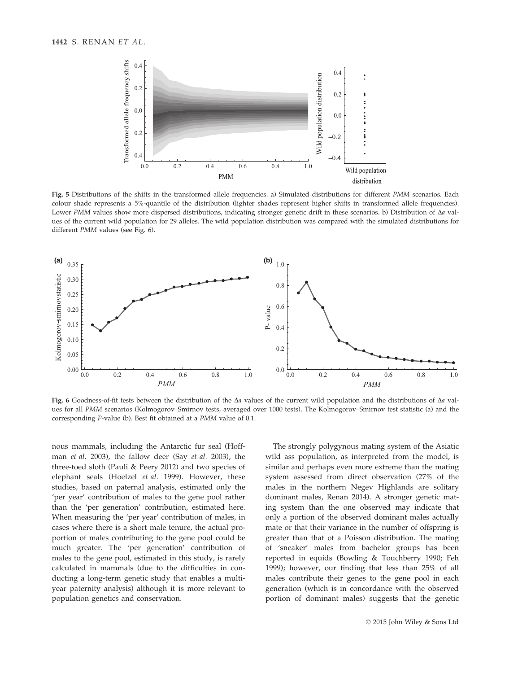

Fig. 5 Distributions of the shifts in the transformed allele frequencies. a) Simulated distributions for different PMM scenarios. Each colour shade represents a 5%-quantile of the distribution (lighter shades represent higher shifts in transformed allele frequencies). Lower PMM values show more dispersed distributions, indicating stronger genetic drift in these scenarios. b) Distribution of  $\Delta a$  values of the current wild population for 29 alleles. The wild population distribution was compared with the simulated distributions for different PMM values (see Fig. 6).



Fig. 6 Goodness-of-fit tests between the distribution of the  $\Delta a$  values of the current wild population and the distributions of  $\Delta a$  values for all PMM scenarios (Kolmogorov–Smirnov tests, averaged over 1000 tests). The Kolmogorov–Smirnov test statistic (a) and the corresponding P-value (b). Best fit obtained at a PMM value of 0.1.

nous mammals, including the Antarctic fur seal (Hoffman et al. 2003), the fallow deer (Say et al. 2003), the three-toed sloth (Pauli & Peery 2012) and two species of elephant seals (Hoelzel et al. 1999). However, these studies, based on paternal analysis, estimated only the 'per year' contribution of males to the gene pool rather than the 'per generation' contribution, estimated here. When measuring the 'per year' contribution of males, in cases where there is a short male tenure, the actual proportion of males contributing to the gene pool could be much greater. The 'per generation' contribution of males to the gene pool, estimated in this study, is rarely calculated in mammals (due to the difficulties in conducting a long-term genetic study that enables a multiyear paternity analysis) although it is more relevant to population genetics and conservation.

The strongly polygynous mating system of the Asiatic wild ass population, as interpreted from the model, is similar and perhaps even more extreme than the mating system assessed from direct observation (27% of the males in the northern Negev Highlands are solitary dominant males, Renan 2014). A stronger genetic mating system than the one observed may indicate that only a portion of the observed dominant males actually mate or that their variance in the number of offspring is greater than that of a Poisson distribution. The mating of 'sneaker' males from bachelor groups has been reported in equids (Bowling & Touchberry 1990; Feh 1999); however, our finding that less than 25% of all males contribute their genes to the gene pool in each generation (which is in concordance with the observed portion of dominant males) suggests that the genetic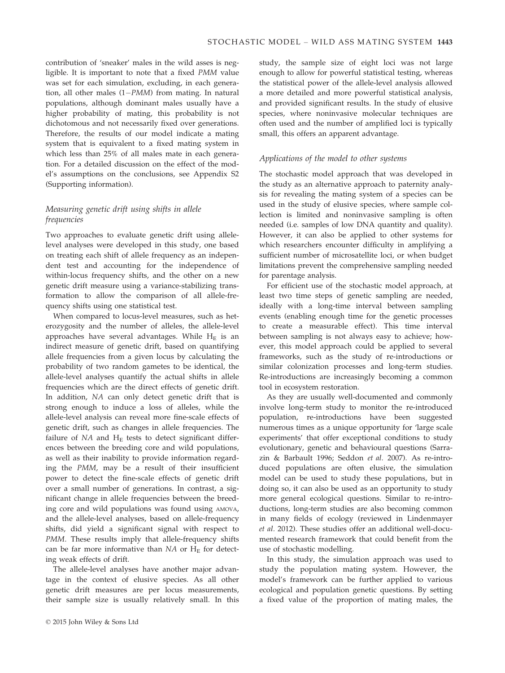contribution of 'sneaker' males in the wild asses is negligible. It is important to note that a fixed PMM value was set for each simulation, excluding, in each generation, all other males  $(1-PMM)$  from mating. In natural populations, although dominant males usually have a higher probability of mating, this probability is not dichotomous and not necessarily fixed over generations. Therefore, the results of our model indicate a mating system that is equivalent to a fixed mating system in which less than 25% of all males mate in each generation. For a detailed discussion on the effect of the model's assumptions on the conclusions, see Appendix S2 (Supporting information).

# Measuring genetic drift using shifts in allele frequencies

Two approaches to evaluate genetic drift using allelelevel analyses were developed in this study, one based on treating each shift of allele frequency as an independent test and accounting for the independence of within-locus frequency shifts, and the other on a new genetic drift measure using a variance-stabilizing transformation to allow the comparison of all allele-frequency shifts using one statistical test.

When compared to locus-level measures, such as heterozygosity and the number of alleles, the allele-level approaches have several advantages. While  $H_E$  is an indirect measure of genetic drift, based on quantifying allele frequencies from a given locus by calculating the probability of two random gametes to be identical, the allele-level analyses quantify the actual shifts in allele frequencies which are the direct effects of genetic drift. In addition, NA can only detect genetic drift that is strong enough to induce a loss of alleles, while the allele-level analysis can reveal more fine-scale effects of genetic drift, such as changes in allele frequencies. The failure of  $NA$  and  $H<sub>E</sub>$  tests to detect significant differences between the breeding core and wild populations, as well as their inability to provide information regarding the PMM, may be a result of their insufficient power to detect the fine-scale effects of genetic drift over a small number of generations. In contrast, a significant change in allele frequencies between the breeding core and wild populations was found using AMOVA, and the allele-level analyses, based on allele-frequency shifts, did yield a significant signal with respect to PMM. These results imply that allele-frequency shifts can be far more informative than  $NA$  or  $H_E$  for detecting weak effects of drift.

The allele-level analyses have another major advantage in the context of elusive species. As all other genetic drift measures are per locus measurements, their sample size is usually relatively small. In this study, the sample size of eight loci was not large enough to allow for powerful statistical testing, whereas the statistical power of the allele-level analysis allowed a more detailed and more powerful statistical analysis, and provided significant results. In the study of elusive species, where noninvasive molecular techniques are often used and the number of amplified loci is typically small, this offers an apparent advantage.

## Applications of the model to other systems

The stochastic model approach that was developed in the study as an alternative approach to paternity analysis for revealing the mating system of a species can be used in the study of elusive species, where sample collection is limited and noninvasive sampling is often needed (i.e. samples of low DNA quantity and quality). However, it can also be applied to other systems for which researchers encounter difficulty in amplifying a sufficient number of microsatellite loci, or when budget limitations prevent the comprehensive sampling needed for parentage analysis.

For efficient use of the stochastic model approach, at least two time steps of genetic sampling are needed, ideally with a long-time interval between sampling events (enabling enough time for the genetic processes to create a measurable effect). This time interval between sampling is not always easy to achieve; however, this model approach could be applied to several frameworks, such as the study of re-introductions or similar colonization processes and long-term studies. Re-introductions are increasingly becoming a common tool in ecosystem restoration.

As they are usually well-documented and commonly involve long-term study to monitor the re-introduced population, re-introductions have been suggested numerous times as a unique opportunity for 'large scale experiments' that offer exceptional conditions to study evolutionary, genetic and behavioural questions (Sarrazin & Barbault 1996; Seddon et al. 2007). As re-introduced populations are often elusive, the simulation model can be used to study these populations, but in doing so, it can also be used as an opportunity to study more general ecological questions. Similar to re-introductions, long-term studies are also becoming common in many fields of ecology (reviewed in Lindenmayer et al. 2012). These studies offer an additional well-documented research framework that could benefit from the use of stochastic modelling.

In this study, the simulation approach was used to study the population mating system. However, the model's framework can be further applied to various ecological and population genetic questions. By setting a fixed value of the proportion of mating males, the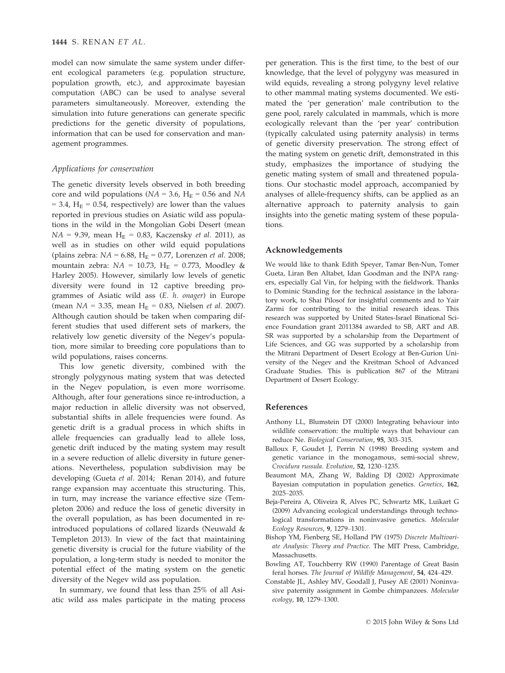model can now simulate the same system under different ecological parameters (e.g. population structure, population growth, etc.), and approximate bayesian computation (ABC) can be used to analyse several parameters simultaneously. Moreover, extending the simulation into future generations can generate specific predictions for the genetic diversity of populations, information that can be used for conservation and management programmes.

## Applications for conservation

The genetic diversity levels observed in both breeding core and wild populations ( $NA = 3.6$ ,  $H_E = 0.56$  and  $NA$  $= 3.4$ , H<sub>E</sub> = 0.54, respectively) are lower than the values reported in previous studies on Asiatic wild ass populations in the wild in the Mongolian Gobi Desert (mean  $NA = 9.39$ , mean H<sub>E</sub> = 0.83, Kaczensky *et al.* 2011), as well as in studies on other wild equid populations (plains zebra:  $NA = 6.88$ ,  $H_E = 0.77$ , Lorenzen *et al.* 2008; mountain zebra:  $NA = 10.73$ ,  $H_E = 0.773$ , Moodley & Harley 2005). However, similarly low levels of genetic diversity were found in 12 captive breeding programmes of Asiatic wild ass (E. h. onager) in Europe (mean  $NA = 3.35$ , mean  $H_E = 0.83$ , Nielsen *et al.* 2007). Although caution should be taken when comparing different studies that used different sets of markers, the relatively low genetic diversity of the Negev's population, more similar to breeding core populations than to wild populations, raises concerns.

This low genetic diversity, combined with the strongly polygynous mating system that was detected in the Negev population, is even more worrisome. Although, after four generations since re-introduction, a major reduction in allelic diversity was not observed, substantial shifts in allele frequencies were found. As genetic drift is a gradual process in which shifts in allele frequencies can gradually lead to allele loss, genetic drift induced by the mating system may result in a severe reduction of allelic diversity in future generations. Nevertheless, population subdivision may be developing (Gueta et al. 2014; Renan 2014), and future range expansion may accentuate this structuring. This, in turn, may increase the variance effective size (Templeton 2006) and reduce the loss of genetic diversity in the overall population, as has been documented in reintroduced populations of collared lizards (Neuwald & Templeton 2013). In view of the fact that maintaining genetic diversity is crucial for the future viability of the population, a long-term study is needed to monitor the potential effect of the mating system on the genetic diversity of the Negev wild ass population.

In summary, we found that less than 25% of all Asiatic wild ass males participate in the mating process per generation. This is the first time, to the best of our knowledge, that the level of polygyny was measured in wild equids, revealing a strong polygyny level relative to other mammal mating systems documented. We estimated the 'per generation' male contribution to the gene pool, rarely calculated in mammals, which is more ecologically relevant than the 'per year' contribution (typically calculated using paternity analysis) in terms of genetic diversity preservation. The strong effect of the mating system on genetic drift, demonstrated in this study, emphasizes the importance of studying the genetic mating system of small and threatened populations. Our stochastic model approach, accompanied by analyses of allele-frequency shifts, can be applied as an alternative approach to paternity analysis to gain insights into the genetic mating system of these populations.

#### Acknowledgements

We would like to thank Edith Speyer, Tamar Ben-Nun, Tomer Gueta, Liran Ben Altabet, Idan Goodman and the INPA rangers, especially Gal Vin, for helping with the fieldwork. Thanks to Dominic Standing for the technical assistance in the laboratory work, to Shai Pilosof for insightful comments and to Yair Zarmi for contributing to the initial research ideas. This research was supported by United States-Israel Binational Science Foundation grant 2011384 awarded to SB, ART and AB. SR was supported by a scholarship from the Department of Life Sciences, and GG was supported by a scholarship from the Mitrani Department of Desert Ecology at Ben-Gurion University of the Negev and the Kreitman School of Advanced Graduate Studies. This is publication 867 of the Mitrani Department of Desert Ecology.

#### References

- Anthony LL, Blumstein DT (2000) Integrating behaviour into wildlife conservation: the multiple ways that behaviour can reduce Ne. Biological Conservation, 95, 303–315.
- Balloux F, Goudet J, Perrin N (1998) Breeding system and genetic variance in the monogamous, semi-social shrew, Crocidura russula. Evolution, 52, 1230–1235.
- Beaumont MA, Zhang W, Balding DJ (2002) Approximate Bayesian computation in population genetics. Genetics, 162, 2025–2035.
- Beja-Pereira A, Oliveira R, Alves PC, Schwartz MK, Luikart G (2009) Advancing ecological understandings through technological transformations in noninvasive genetics. Molecular Ecology Resources, 9, 1279–1301.
- Bishop YM, Fienberg SE, Holland PW (1975) Discrete Multivariate Analysis: Theory and Practice. The MIT Press, Cambridge, Massachusetts.
- Bowling AT, Touchberry RW (1990) Parentage of Great Basin feral horses. The Journal of Wildlife Management, 54, 424-429.
- Constable JL, Ashley MV, Goodall J, Pusey AE (2001) Noninvasive paternity assignment in Gombe chimpanzees. Molecular ecology, 10, 1279–1300.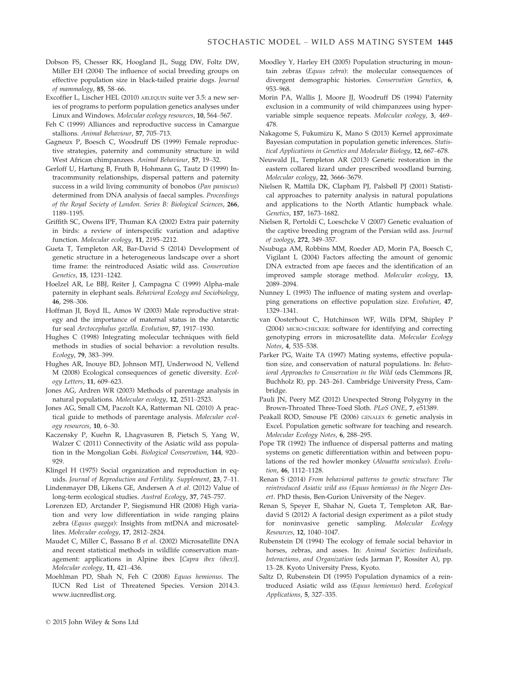- Dobson FS, Chesser RK, Hoogland JL, Sugg DW, Foltz DW, Miller EH (2004) The influence of social breeding groups on effective population size in black-tailed prairie dogs. Journal of mammalogy, 85, 58–66.
- Excoffier L, Lischer HEL (2010) ARLEQUIN suite ver 3.5: a new series of programs to perform population genetics analyses under Linux and Windows. Molecular ecology resources, 10, 564–567.
- Feh C (1999) Alliances and reproductive success in Camargue stallions. Animal Behaviour, 57, 705–713.
- Gagneux P, Boesch C, Woodruff DS (1999) Female reproductive strategies, paternity and community structure in wild West African chimpanzees. Animal Behaviour, 57, 19–32.
- Gerloff U, Hartung B, Fruth B, Hohmann G, Tautz D (1999) Intracommunity relationships, dispersal pattern and paternity success in a wild living community of bonobos (Pan paniscus) determined from DNA analysis of faecal samples. Proceedings of the Royal Society of London. Series B: Biological Sciences, 266, 1189–1195.
- Griffith SC, Owens IPF, Thuman KA (2002) Extra pair paternity in birds: a review of interspecific variation and adaptive function. Molecular ecology, 11, 2195–2212.
- Gueta T, Templeton AR, Bar-David S (2014) Development of genetic structure in a heterogeneous landscape over a short time frame: the reintroduced Asiatic wild ass. Conservation Genetics, 15, 1231–1242.
- Hoelzel AR, Le BBJ, Reiter J, Campagna C (1999) Alpha-male paternity in elephant seals. Behavioral Ecology and Sociobiology, 46, 298–306.
- Hoffman JI, Boyd IL, Amos W (2003) Male reproductive strategy and the importance of maternal status in the Antarctic fur seal Arctocephalus gazella. Evolution, 57, 1917–1930.
- Hughes C (1998) Integrating molecular techniques with field methods in studies of social behavior: a revolution results. Ecology, 79, 383–399.
- Hughes AR, Inouye BD, Johnson MTJ, Underwood N, Vellend M (2008) Ecological consequences of genetic diversity. Ecology Letters, 11, 609–623.
- Jones AG, Ardren WR (2003) Methods of parentage analysis in natural populations. Molecular ecology, 12, 2511–2523.
- Jones AG, Small CM, Paczolt KA, Ratterman NL (2010) A practical guide to methods of parentage analysis. Molecular ecology resources, 10, 6–30.
- Kaczensky P, Kuehn R, Lhagvasuren B, Pietsch S, Yang W, Walzer C (2011) Connectivity of the Asiatic wild ass population in the Mongolian Gobi. Biological Conservation, 144, 920– 929.
- Klingel H (1975) Social organization and reproduction in equids. Journal of Reproduction and Fertility. Supplement, 23, 7–11.
- Lindenmayer DB, Likens GE, Andersen A et al. (2012) Value of long-term ecological studies. Austral Ecology, 37, 745–757.
- Lorenzen ED, Arctander P, Siegismund HR (2008) High variation and very low differentiation in wide ranging plains zebra (Equus quagga): Insights from mtDNA and microsatellites. Molecular ecology, 17, 2812–2824.
- Maudet C, Miller C, Bassano B et al. (2002) Microsatellite DNA and recent statistical methods in wildlife conservation management: applications in Alpine ibex [Capra ibex (ibex)]. Molecular ecology, 11, 421–436.
- Moehlman PD, Shah N, Feh C (2008) Equus hemionus. The IUCN Red List of Threatened Species. Version 2014.3. [www.iucnredlist.org](http://www.iucnredlist.org).
- Moodley Y, Harley EH (2005) Population structuring in mountain zebras (Equus zebra): the molecular consequences of divergent demographic histories. Conservation Genetics, 6, 953–968.
- Morin PA, Wallis J, Moore JJ, Woodruff DS (1994) Paternity exclusion in a community of wild chimpanzees using hypervariable simple sequence repeats. Molecular ecology, 3, 469– 478.
- Nakagome S, Fukumizu K, Mano S (2013) Kernel approximate Bayesian computation in population genetic inferences. Statistical Applications in Genetics and Molecular Biology, 12, 667–678.
- Neuwald JL, Templeton AR (2013) Genetic restoration in the eastern collared lizard under prescribed woodland burning. Molecular ecology, 22, 3666–3679.
- Nielsen R, Mattila DK, Clapham PJ, Palsbøll PJ (2001) Statistical approaches to paternity analysis in natural populations and applications to the North Atlantic humpback whale. Genetics, 157, 1673–1682.
- Nielsen R, Pertoldi C, Loeschcke V (2007) Genetic evaluation of the captive breeding program of the Persian wild ass. Journal of zoology, 272, 349–357.
- Nsubuga AM, Robbins MM, Roeder AD, Morin PA, Boesch C, Vigilant L (2004) Factors affecting the amount of genomic DNA extracted from ape faeces and the identification of an improved sample storage method. Molecular ecology, 13, 2089–2094.
- Nunney L (1993) The influence of mating system and overlapping generations on effective population size. Evolution, 47, 1329–1341.
- van Oosterhout C, Hutchinson WF, Wills DPM, Shipley P (2004) MICRO-CHECKER: software for identifying and correcting genotyping errors in microsatellite data. Molecular Ecology Notes, 4, 535–538.
- Parker PG, Waite TA (1997) Mating systems, effective population size, and conservation of natural populations. In: Behavioral Approaches to Conservation in the Wild (eds Clemmons JR, Buchholz R), pp. 243–261. Cambridge University Press, Cambridge.
- Pauli JN, Peery MZ (2012) Unexpected Strong Polygyny in the Brown-Throated Three-Toed Sloth. PLoS ONE, 7, e51389.
- Peakall ROD, Smouse PE (2006) GENALEX 6: genetic analysis in Excel. Population genetic software for teaching and research. Molecular Ecology Notes, 6, 288–295.
- Pope TR (1992) The influence of dispersal patterns and mating systems on genetic differentiation within and between populations of the red howler monkey (Alouatta seniculus). Evolution, 46, 1112–1128.
- Renan S (2014) From behavioral patterns to genetic structure: The reintroduced Asiatic wild ass (Equus hemionus) in the Negev Desert. PhD thesis, Ben-Gurion University of the Negev.
- Renan S, Speyer E, Shahar N, Gueta T, Templeton AR, Bardavid S (2012) A factorial design experiment as a pilot study for noninvasive genetic sampling. Molecular Ecology Resources, 12, 1040–1047.
- Rubenstein DI (1994) The ecology of female social behavior in horses, zebras, and asses. In: Animal Societies: Individuals, Interactions, and Organization (eds Jarman P, Rossiter A), pp. 13–28. Kyoto University Press, Kyoto.
- Saltz D, Rubenstein DI (1995) Population dynamics of a reintroduced Asiatic wild ass (Equus hemionus) herd. Ecological Applications, 5, 327–335.